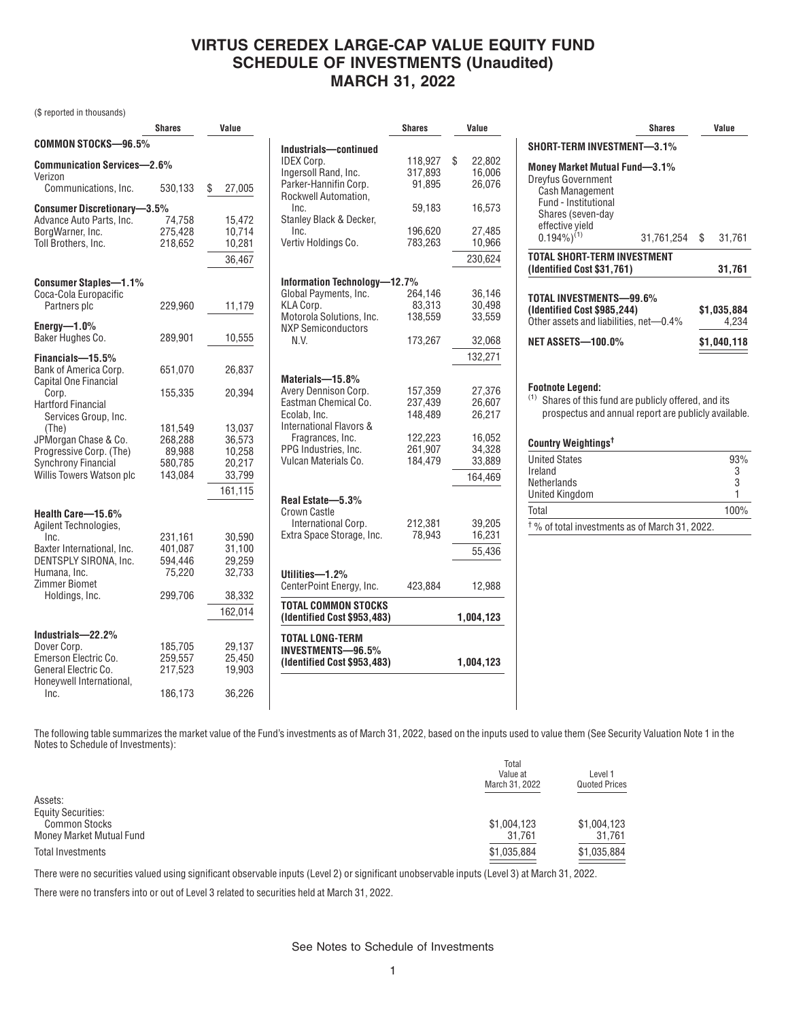## **VIRTUS CEREDEX LARGE-CAP VALUE EQUITY FUND SCHEDULE OF INVESTMENTS (Unaudited) MARCH 31, 2022**

(\$ reported in thousands)

|                                                  | <b>Shares</b>      | Value            |                                                           | <b>Shares</b> | Value        |
|--------------------------------------------------|--------------------|------------------|-----------------------------------------------------------|---------------|--------------|
| COMMON STOCKS-96.5%                              |                    |                  | Industrials-continued                                     |               |              |
| <b>Communication Services-2.6%</b>               |                    |                  | <b>IDEX Corp.</b>                                         | 118,927       | \$<br>22,802 |
| Verizon                                          |                    |                  | Ingersoll Rand, Inc.                                      | 317,893       | 16,006       |
| Communications, Inc.                             | 530,133            | \$<br>27,005     | Parker-Hannifin Corp.<br>Rockwell Automation,             | 91,895        | 26,076       |
| <b>Consumer Discretionary-3.5%</b>               |                    |                  | Inc.                                                      | 59,183        | 16,573       |
| Advance Auto Parts, Inc.                         | 74,758             | 15,472           | Stanley Black & Decker,                                   |               |              |
| BorgWarner, Inc.                                 | 275,428            | 10,714           | Inc.                                                      | 196,620       | 27,485       |
| Toll Brothers, Inc.                              | 218,652            | 10,281           | Vertiv Holdings Co.                                       | 783,263       | 10,966       |
|                                                  |                    | 36,467           |                                                           |               | 230,624      |
| <b>Consumer Staples-1.1%</b>                     |                    |                  | Information Technology-12.7%                              |               |              |
| Coca-Cola Europacific                            |                    |                  | Global Payments, Inc.                                     | 264,146       | 36,146       |
| Partners plc                                     | 229,960            | 11,179           | KLA Corp.                                                 | 83,313        | 30,498       |
| Energy $-1.0\%$                                  |                    |                  | Motorola Solutions, Inc.<br><b>NXP Semiconductors</b>     | 138,559       | 33,559       |
| Baker Hughes Co.                                 | 289,901            | 10,555           | N.V.                                                      | 173,267       | 32,068       |
| Financials-15.5%                                 |                    |                  |                                                           |               | 132,271      |
| Bank of America Corp.                            | 651.070            | 26,837           |                                                           |               |              |
| Capital One Financial                            |                    |                  | Materials-15.8%<br>Avery Dennison Corp.                   | 157,359       | 27,376       |
| Corp.                                            | 155,335            | 20,394           | Eastman Chemical Co.                                      | 237,439       | 26,607       |
| <b>Hartford Financial</b>                        |                    |                  | Ecolab. Inc.                                              | 148.489       | 26,217       |
| Services Group, Inc.<br>(The)                    | 181,549            | 13,037           | International Flavors &                                   |               |              |
| JPMorgan Chase & Co.                             | 268,288            | 36,573           | Fragrances, Inc.                                          | 122,223       | 16,052       |
| Progressive Corp. (The)                          | 89,988             | 10,258           | PPG Industries, Inc.                                      | 261.907       | 34,328       |
| <b>Synchrony Financial</b>                       | 580,785            | 20,217           | Vulcan Materials Co.                                      | 184,479       | 33,889       |
| Willis Towers Watson plc                         | 143,084            | 33,799           |                                                           |               | 164,469      |
|                                                  |                    | 161,115          |                                                           |               |              |
|                                                  |                    |                  | Real Estate-5.3%                                          |               |              |
| Health Care-15.6%                                |                    |                  | <b>Crown Castle</b><br>International Corp.                | 212,381       | 39,205       |
| Agilent Technologies,                            |                    |                  | Extra Space Storage, Inc.                                 | 78,943        | 16,231       |
| Inc.<br>Baxter International, Inc.               | 231,161<br>401,087 | 30,590<br>31,100 |                                                           |               |              |
| DENTSPLY SIRONA, Inc.                            | 594,446            | 29,259           |                                                           |               | 55,436       |
| Humana, Inc.                                     | 75,220             | 32,733           | Utilities-1.2%                                            |               |              |
| Zimmer Biomet                                    |                    |                  | CenterPoint Energy, Inc.                                  | 423.884       | 12,988       |
| Holdings, Inc.                                   | 299,706            | 38,332           |                                                           |               |              |
|                                                  |                    | 162,014          | <b>TOTAL COMMON STOCKS</b><br>(Identified Cost \$953,483) |               | 1,004,123    |
| Industrials-22.2%                                |                    |                  | <b>TOTAL LONG-TERM</b>                                    |               |              |
| Dover Corp.                                      | 185,705            | 29,137           | <b>INVESTMENTS-96.5%</b>                                  |               |              |
| Emerson Electric Co.                             | 259,557            | 25.450           | (Identified Cost \$953,483)                               |               | 1,004,123    |
| General Electric Co.<br>Honeywell International, | 217,523            | 19,903           |                                                           |               |              |
| Inc.                                             | 186,173            | 36,226           |                                                           |               |              |

| SHORT-TERM INVESTMENT-3.1%                                                                                                                                               | <b>Shares</b> |                      | Value  |  |  |  |
|--------------------------------------------------------------------------------------------------------------------------------------------------------------------------|---------------|----------------------|--------|--|--|--|
| Money Market Mutual Fund-3.1%<br><b>Dreyfus Government</b><br><b>Cash Management</b><br>Fund - Institutional<br>Shares (seven-day<br>effective yield<br>$0.194\%)^{(1)}$ | 31,761,254    | \$                   | 31,761 |  |  |  |
| TOTAL SHORT-TERM INVESTMENT<br>(Identified Cost \$31,761)                                                                                                                |               |                      | 31,761 |  |  |  |
| TOTAL INVESTMENTS-99.6%<br>(Identified Cost \$985,244)<br>Other assets and liabilities, net-0.4%                                                                         |               | \$1,035,884<br>4.234 |        |  |  |  |
| <b>NET ASSETS-100.0%</b>                                                                                                                                                 |               | \$1,040,118          |        |  |  |  |
| <b>Footnote Legend:</b><br>(1)<br>Shares of this fund are publicly offered, and its<br>prospectus and annual report are publicly available.<br>Country Weightings†       |               |                      |        |  |  |  |

| Country Weldhtings'                                       |      |
|-----------------------------------------------------------|------|
| <b>United States</b>                                      | 93%  |
| Ireland                                                   | 3    |
| Netherlands                                               | 3    |
| <b>United Kingdom</b>                                     |      |
| Total                                                     | 100% |
| <sup>†</sup> % of total investments as of March 31, 2022. |      |

The following table summarizes the market value of the Fund's investments as of March 31, 2022, based on the inputs used to value them (See Security Valuation Note 1 in the Notes to Schedule of Investments):

|                           | Total<br>Value at<br>March 31, 2022 | Level 1<br><b>Quoted Prices</b> |
|---------------------------|-------------------------------------|---------------------------------|
| Assets:                   |                                     |                                 |
| <b>Equity Securities:</b> |                                     |                                 |
| <b>Common Stocks</b>      | \$1,004,123                         | \$1,004,123                     |
| Money Market Mutual Fund  | 31,761                              | 31.761                          |
| <b>Total Investments</b>  | \$1,035,884                         | \$1,035,884                     |
|                           |                                     |                                 |

There were no securities valued using significant observable inputs (Level 2) or significant unobservable inputs (Level 3) at March 31, 2022.

There were no transfers into or out of Level 3 related to securities held at March 31, 2022.

See Notes to Schedule of Investments